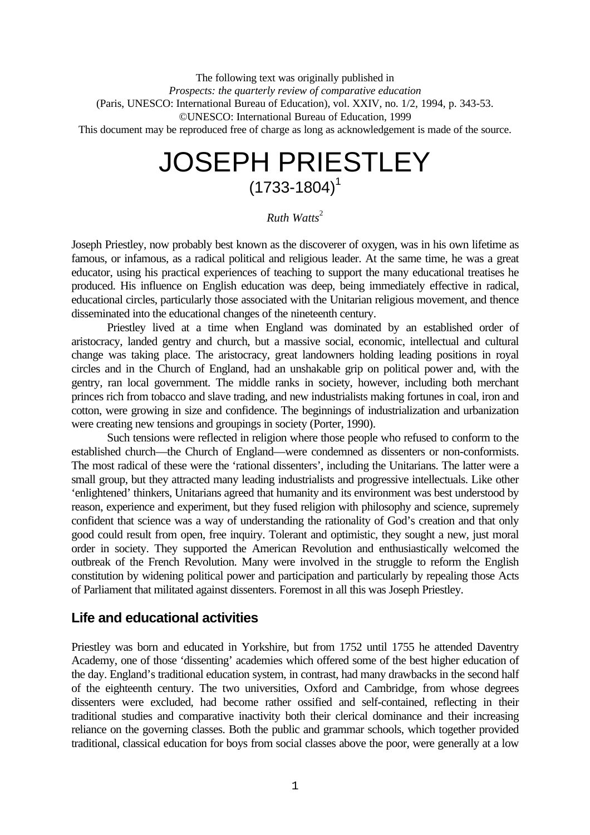The following text was originally published in *Prospects: the quarterly review of comparative education* (Paris, UNESCO: International Bureau of Education), vol. XXIV, no. 1/2, 1994, p. 343-53. ©UNESCO: International Bureau of Education, 1999 This document may be reproduced free of charge as long as acknowledgement is made of the source.

# JOSEPH PRIESTLEY  $(1733 - 1804)^{1}$

*Ruth Watts*<sup>2</sup>

Joseph Priestley, now probably best known as the discoverer of oxygen, was in his own lifetime as famous, or infamous, as a radical political and religious leader. At the same time, he was a great educator, using his practical experiences of teaching to support the many educational treatises he produced. His influence on English education was deep, being immediately effective in radical, educational circles, particularly those associated with the Unitarian religious movement, and thence disseminated into the educational changes of the nineteenth century.

Priestley lived at a time when England was dominated by an established order of aristocracy, landed gentry and church, but a massive social, economic, intellectual and cultural change was taking place. The aristocracy, great landowners holding leading positions in royal circles and in the Church of England, had an unshakable grip on political power and, with the gentry, ran local government. The middle ranks in society, however, including both merchant princes rich from tobacco and slave trading, and new industrialists making fortunes in coal, iron and cotton, were growing in size and confidence. The beginnings of industrialization and urbanization were creating new tensions and groupings in society (Porter, 1990).

Such tensions were reflected in religion where those people who refused to conform to the established church—the Church of England—were condemned as dissenters or non-conformists. The most radical of these were the 'rational dissenters', including the Unitarians. The latter were a small group, but they attracted many leading industrialists and progressive intellectuals. Like other 'enlightened' thinkers, Unitarians agreed that humanity and its environment was best understood by reason, experience and experiment, but they fused religion with philosophy and science, supremely confident that science was a way of understanding the rationality of God's creation and that only good could result from open, free inquiry. Tolerant and optimistic, they sought a new, just moral order in society. They supported the American Revolution and enthusiastically welcomed the outbreak of the French Revolution. Many were involved in the struggle to reform the English constitution by widening political power and participation and particularly by repealing those Acts of Parliament that militated against dissenters. Foremost in all this was Joseph Priestley.

## **Life and educational activities**

Priestley was born and educated in Yorkshire, but from 1752 until 1755 he attended Daventry Academy, one of those 'dissenting' academies which offered some of the best higher education of the day. England's traditional education system, in contrast, had many drawbacks in the second half of the eighteenth century. The two universities, Oxford and Cambridge, from whose degrees dissenters were excluded, had become rather ossified and self-contained, reflecting in their traditional studies and comparative inactivity both their clerical dominance and their increasing reliance on the governing classes. Both the public and grammar schools, which together provided traditional, classical education for boys from social classes above the poor, were generally at a low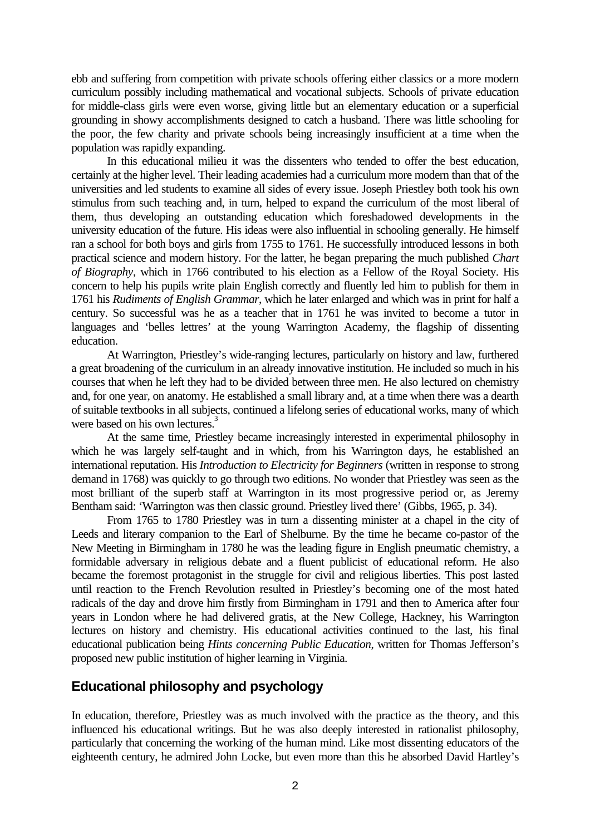ebb and suffering from competition with private schools offering either classics or a more modern curriculum possibly including mathematical and vocational subjects. Schools of private education for middle-class girls were even worse, giving little but an elementary education or a superficial grounding in showy accomplishments designed to catch a husband. There was little schooling for the poor, the few charity and private schools being increasingly insufficient at a time when the population was rapidly expanding.

In this educational milieu it was the dissenters who tended to offer the best education, certainly at the higher level. Their leading academies had a curriculum more modern than that of the universities and led students to examine all sides of every issue. Joseph Priestley both took his own stimulus from such teaching and, in turn, helped to expand the curriculum of the most liberal of them, thus developing an outstanding education which foreshadowed developments in the university education of the future. His ideas were also influential in schooling generally. He himself ran a school for both boys and girls from 1755 to 1761. He successfully introduced lessons in both practical science and modern history. For the latter, he began preparing the much published *Chart of Biography*, which in 1766 contributed to his election as a Fellow of the Royal Society. His concern to help his pupils write plain English correctly and fluently led him to publish for them in 1761 his *Rudiments of English Grammar*, which he later enlarged and which was in print for half a century. So successful was he as a teacher that in 1761 he was invited to become a tutor in languages and 'belles lettres' at the young Warrington Academy, the flagship of dissenting education.

At Warrington, Priestley's wide-ranging lectures, particularly on history and law, furthered a great broadening of the curriculum in an already innovative institution. He included so much in his courses that when he left they had to be divided between three men. He also lectured on chemistry and, for one year, on anatomy. He established a small library and, at a time when there was a dearth of suitable textbooks in all subjects, continued a lifelong series of educational works, many of which were based on his own lectures.<sup>3</sup>

At the same time, Priestley became increasingly interested in experimental philosophy in which he was largely self-taught and in which, from his Warrington days, he established an international reputation. His *Introduction to Electricity for Beginners* (written in response to strong demand in 1768) was quickly to go through two editions. No wonder that Priestley was seen as the most brilliant of the superb staff at Warrington in its most progressive period or, as Jeremy Bentham said: 'Warrington was then classic ground. Priestley lived there' (Gibbs, 1965, p. 34).

From 1765 to 1780 Priestley was in turn a dissenting minister at a chapel in the city of Leeds and literary companion to the Earl of Shelburne. By the time he became co-pastor of the New Meeting in Birmingham in 1780 he was the leading figure in English pneumatic chemistry, a formidable adversary in religious debate and a fluent publicist of educational reform. He also became the foremost protagonist in the struggle for civil and religious liberties. This post lasted until reaction to the French Revolution resulted in Priestley's becoming one of the most hated radicals of the day and drove him firstly from Birmingham in 1791 and then to America after four years in London where he had delivered gratis, at the New College, Hackney, his Warrington lectures on history and chemistry. His educational activities continued to the last, his final educational publication being *Hints concerning Public Education*, written for Thomas Jefferson's proposed new public institution of higher learning in Virginia.

# **Educational philosophy and psychology**

In education, therefore, Priestley was as much involved with the practice as the theory, and this influenced his educational writings. But he was also deeply interested in rationalist philosophy, particularly that concerning the working of the human mind. Like most dissenting educators of the eighteenth century, he admired John Locke, but even more than this he absorbed David Hartley's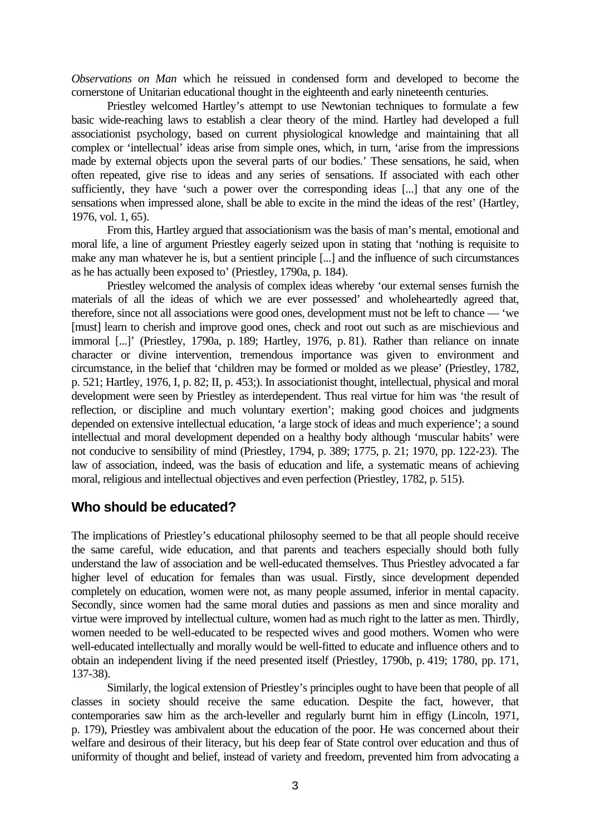*Observations on Man* which he reissued in condensed form and developed to become the cornerstone of Unitarian educational thought in the eighteenth and early nineteenth centuries.

Priestley welcomed Hartley's attempt to use Newtonian techniques to formulate a few basic wide-reaching laws to establish a clear theory of the mind. Hartley had developed a full associationist psychology, based on current physiological knowledge and maintaining that all complex or 'intellectual' ideas arise from simple ones, which, in turn, 'arise from the impressions made by external objects upon the several parts of our bodies.' These sensations, he said, when often repeated, give rise to ideas and any series of sensations. If associated with each other sufficiently, they have 'such a power over the corresponding ideas [...] that any one of the sensations when impressed alone, shall be able to excite in the mind the ideas of the rest' (Hartley, 1976, vol. 1, 65).

From this, Hartley argued that associationism was the basis of man's mental, emotional and moral life, a line of argument Priestley eagerly seized upon in stating that 'nothing is requisite to make any man whatever he is, but a sentient principle [...] and the influence of such circumstances as he has actually been exposed to' (Priestley, 1790a, p. 184).

Priestley welcomed the analysis of complex ideas whereby 'our external senses furnish the materials of all the ideas of which we are ever possessed' and wholeheartedly agreed that, therefore, since not all associations were good ones, development must not be left to chance — 'we [must] learn to cherish and improve good ones, check and root out such as are mischievious and immoral [...]' (Priestley, 1790a, p. 189; Hartley, 1976, p. 81). Rather than reliance on innate character or divine intervention, tremendous importance was given to environment and circumstance, in the belief that 'children may be formed or molded as we please' (Priestley, 1782, p. 521; Hartley, 1976, I, p. 82; II, p. 453;). In associationist thought, intellectual, physical and moral development were seen by Priestley as interdependent. Thus real virtue for him was 'the result of reflection, or discipline and much voluntary exertion'; making good choices and judgments depended on extensive intellectual education, 'a large stock of ideas and much experience'; a sound intellectual and moral development depended on a healthy body although 'muscular habits' were not conducive to sensibility of mind (Priestley, 1794, p. 389; 1775, p. 21; 1970, pp. 122-23). The law of association, indeed, was the basis of education and life, a systematic means of achieving moral, religious and intellectual objectives and even perfection (Priestley, 1782, p. 515).

## **Who should be educated?**

The implications of Priestley's educational philosophy seemed to be that all people should receive the same careful, wide education, and that parents and teachers especially should both fully understand the law of association and be well-educated themselves. Thus Priestley advocated a far higher level of education for females than was usual. Firstly, since development depended completely on education, women were not, as many people assumed, inferior in mental capacity. Secondly, since women had the same moral duties and passions as men and since morality and virtue were improved by intellectual culture, women had as much right to the latter as men. Thirdly, women needed to be well-educated to be respected wives and good mothers. Women who were well-educated intellectually and morally would be well-fitted to educate and influence others and to obtain an independent living if the need presented itself (Priestley, 1790b, p. 419; 1780, pp. 171, 137-38).

Similarly, the logical extension of Priestley's principles ought to have been that people of all classes in society should receive the same education. Despite the fact, however, that contemporaries saw him as the arch-leveller and regularly burnt him in effigy (Lincoln, 1971, p. 179), Priestley was ambivalent about the education of the poor. He was concerned about their welfare and desirous of their literacy, but his deep fear of State control over education and thus of uniformity of thought and belief, instead of variety and freedom, prevented him from advocating a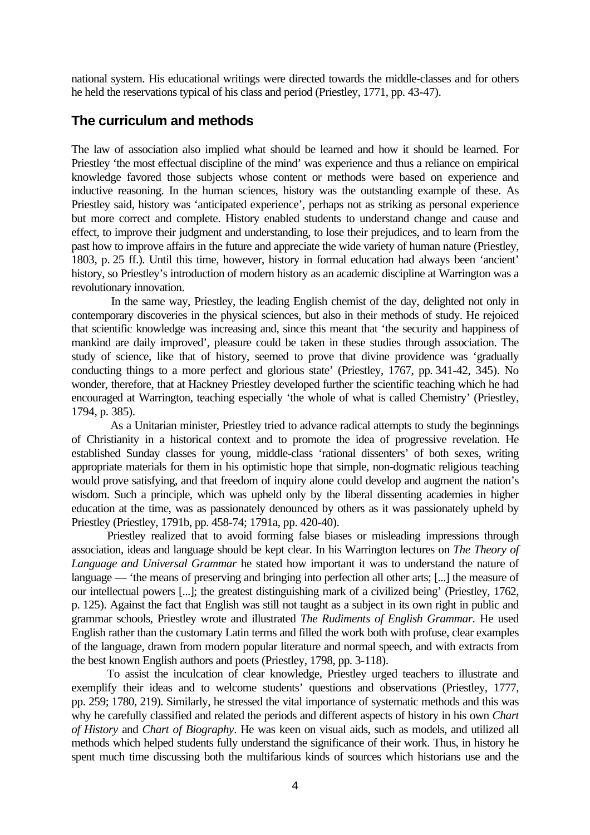national system. His educational writings were directed towards the middle-classes and for others he held the reservations typical of his class and period (Priestley, 1771, pp. 43-47).

# **The curriculum and methods**

The law of association also implied what should be learned and how it should be learned. For Priestley 'the most effectual discipline of the mind' was experience and thus a reliance on empirical knowledge favored those subjects whose content or methods were based on experience and inductive reasoning. In the human sciences, history was the outstanding example of these. As Priestley said, history was 'anticipated experience', perhaps not as striking as personal experience but more correct and complete. History enabled students to understand change and cause and effect, to improve their judgment and understanding, to lose their prejudices, and to learn from the past how to improve affairs in the future and appreciate the wide variety of human nature (Priestley, 1803, p. 25 ff.). Until this time, however, history in formal education had always been 'ancient' history, so Priestley's introduction of modern history as an academic discipline at Warrington was a revolutionary innovation.

 In the same way, Priestley, the leading English chemist of the day, delighted not only in contemporary discoveries in the physical sciences, but also in their methods of study. He rejoiced that scientific knowledge was increasing and, since this meant that 'the security and happiness of mankind are daily improved', pleasure could be taken in these studies through association. The study of science, like that of history, seemed to prove that divine providence was 'gradually conducting things to a more perfect and glorious state' (Priestley, 1767, pp. 341-42, 345). No wonder, therefore, that at Hackney Priestley developed further the scientific teaching which he had encouraged at Warrington, teaching especially 'the whole of what is called Chemistry' (Priestley, 1794, p. 385).

 As a Unitarian minister, Priestley tried to advance radical attempts to study the beginnings of Christianity in a historical context and to promote the idea of progressive revelation. He established Sunday classes for young, middle-class 'rational dissenters' of both sexes, writing appropriate materials for them in his optimistic hope that simple, non-dogmatic religious teaching would prove satisfying, and that freedom of inquiry alone could develop and augment the nation's wisdom. Such a principle, which was upheld only by the liberal dissenting academies in higher education at the time, was as passionately denounced by others as it was passionately upheld by Priestley (Priestley, 1791b, pp. 458-74; 1791a, pp. 420-40).

Priestley realized that to avoid forming false biases or misleading impressions through association, ideas and language should be kept clear. In his Warrington lectures on *The Theory of Language and Universal Grammar* he stated how important it was to understand the nature of language — 'the means of preserving and bringing into perfection all other arts; [...] the measure of our intellectual powers [...]; the greatest distinguishing mark of a civilized being' (Priestley, 1762, p. 125). Against the fact that English was still not taught as a subject in its own right in public and grammar schools, Priestley wrote and illustrated *The Rudiments of English Grammar*. He used English rather than the customary Latin terms and filled the work both with profuse, clear examples of the language, drawn from modern popular literature and normal speech, and with extracts from the best known English authors and poets (Priestley, 1798, pp. 3-118).

To assist the inculcation of clear knowledge, Priestley urged teachers to illustrate and exemplify their ideas and to welcome students' questions and observations (Priestley, 1777, pp. 259; 1780, 219). Similarly, he stressed the vital importance of systematic methods and this was why he carefully classified and related the periods and different aspects of history in his own *Chart of History* and *Chart of Biography*. He was keen on visual aids, such as models, and utilized all methods which helped students fully understand the significance of their work. Thus, in history he spent much time discussing both the multifarious kinds of sources which historians use and the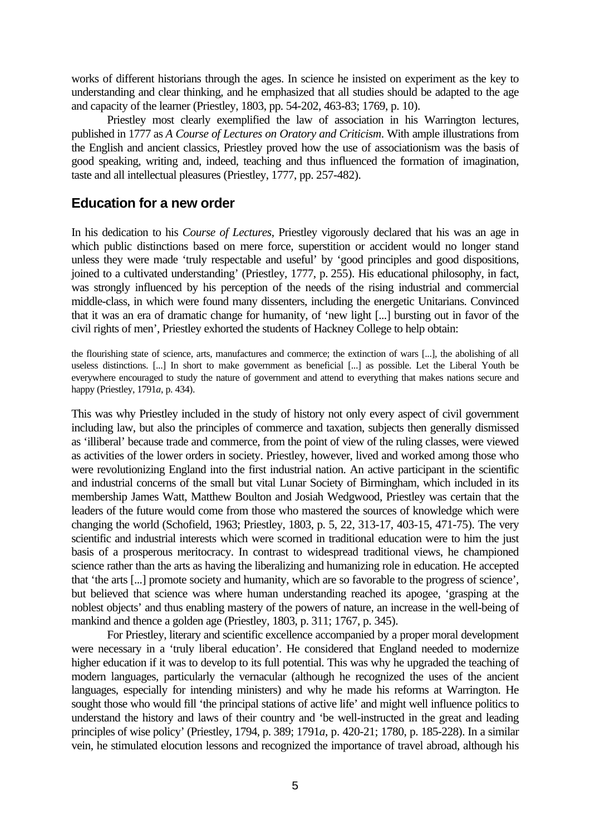works of different historians through the ages. In science he insisted on experiment as the key to understanding and clear thinking, and he emphasized that all studies should be adapted to the age and capacity of the learner (Priestley, 1803, pp. 54-202, 463-83; 1769, p. 10).

Priestley most clearly exemplified the law of association in his Warrington lectures, published in 1777 as *A Course of Lectures on Oratory and Criticism*. With ample illustrations from the English and ancient classics, Priestley proved how the use of associationism was the basis of good speaking, writing and, indeed, teaching and thus influenced the formation of imagination, taste and all intellectual pleasures (Priestley, 1777, pp. 257-482).

## **Education for a new order**

In his dedication to his *Course of Lectures*, Priestley vigorously declared that his was an age in which public distinctions based on mere force, superstition or accident would no longer stand unless they were made 'truly respectable and useful' by 'good principles and good dispositions, joined to a cultivated understanding' (Priestley, 1777, p. 255). His educational philosophy, in fact, was strongly influenced by his perception of the needs of the rising industrial and commercial middle-class, in which were found many dissenters, including the energetic Unitarians. Convinced that it was an era of dramatic change for humanity, of 'new light [...] bursting out in favor of the civil rights of men', Priestley exhorted the students of Hackney College to help obtain:

the flourishing state of science, arts, manufactures and commerce; the extinction of wars [...], the abolishing of all useless distinctions. [...] In short to make government as beneficial [...] as possible. Let the Liberal Youth be everywhere encouraged to study the nature of government and attend to everything that makes nations secure and happy (Priestley, 1791*a*, p. 434).

This was why Priestley included in the study of history not only every aspect of civil government including law, but also the principles of commerce and taxation, subjects then generally dismissed as 'illiberal' because trade and commerce, from the point of view of the ruling classes, were viewed as activities of the lower orders in society. Priestley, however, lived and worked among those who were revolutionizing England into the first industrial nation. An active participant in the scientific and industrial concerns of the small but vital Lunar Society of Birmingham, which included in its membership James Watt, Matthew Boulton and Josiah Wedgwood, Priestley was certain that the leaders of the future would come from those who mastered the sources of knowledge which were changing the world (Schofield, 1963; Priestley, 1803, p. 5, 22, 313-17, 403-15, 471-75). The very scientific and industrial interests which were scorned in traditional education were to him the just basis of a prosperous meritocracy. In contrast to widespread traditional views, he championed science rather than the arts as having the liberalizing and humanizing role in education. He accepted that 'the arts [...] promote society and humanity, which are so favorable to the progress of science', but believed that science was where human understanding reached its apogee, 'grasping at the noblest objects' and thus enabling mastery of the powers of nature, an increase in the well-being of mankind and thence a golden age (Priestley, 1803, p. 311; 1767, p. 345).

For Priestley, literary and scientific excellence accompanied by a proper moral development were necessary in a 'truly liberal education'. He considered that England needed to modernize higher education if it was to develop to its full potential. This was why he upgraded the teaching of modern languages, particularly the vernacular (although he recognized the uses of the ancient languages, especially for intending ministers) and why he made his reforms at Warrington. He sought those who would fill 'the principal stations of active life' and might well influence politics to understand the history and laws of their country and 'be well-instructed in the great and leading principles of wise policy' (Priestley, 1794, p. 389; 1791*a*, p. 420-21; 1780, p. 185-228). In a similar vein, he stimulated elocution lessons and recognized the importance of travel abroad, although his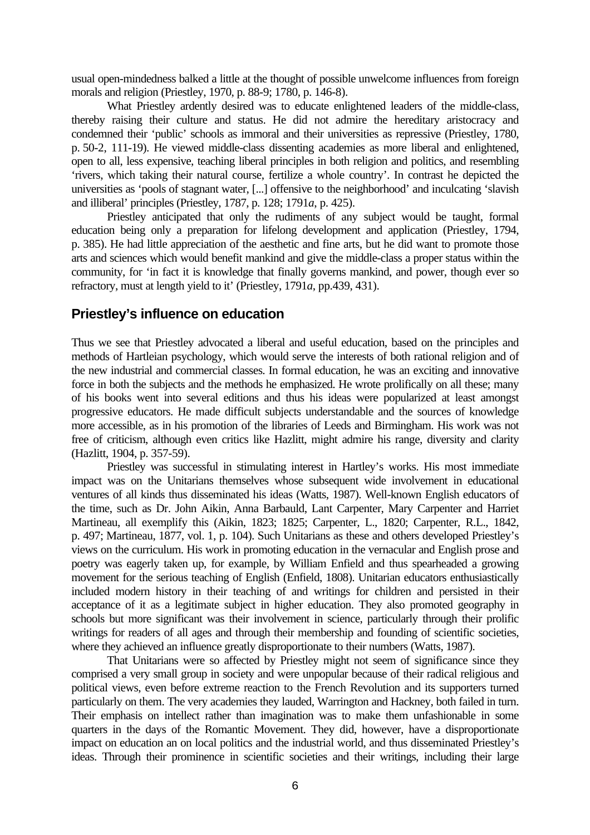usual open-mindedness balked a little at the thought of possible unwelcome influences from foreign morals and religion (Priestley, 1970, p. 88-9; 1780, p. 146-8).

What Priestley ardently desired was to educate enlightened leaders of the middle-class, thereby raising their culture and status. He did not admire the hereditary aristocracy and condemned their 'public' schools as immoral and their universities as repressive (Priestley, 1780, p. 50-2, 111-19). He viewed middle-class dissenting academies as more liberal and enlightened, open to all, less expensive, teaching liberal principles in both religion and politics, and resembling 'rivers, which taking their natural course, fertilize a whole country'. In contrast he depicted the universities as 'pools of stagnant water, [...] offensive to the neighborhood' and inculcating 'slavish and illiberal' principles (Priestley, 1787, p. 128; 1791*a*, p. 425).

Priestley anticipated that only the rudiments of any subject would be taught, formal education being only a preparation for lifelong development and application (Priestley, 1794, p. 385). He had little appreciation of the aesthetic and fine arts, but he did want to promote those arts and sciences which would benefit mankind and give the middle-class a proper status within the community, for 'in fact it is knowledge that finally governs mankind, and power, though ever so refractory, must at length yield to it' (Priestley, 1791*a*, pp.439, 431).

### **Priestley's influence on education**

Thus we see that Priestley advocated a liberal and useful education, based on the principles and methods of Hartleian psychology, which would serve the interests of both rational religion and of the new industrial and commercial classes. In formal education, he was an exciting and innovative force in both the subjects and the methods he emphasized. He wrote prolifically on all these; many of his books went into several editions and thus his ideas were popularized at least amongst progressive educators. He made difficult subjects understandable and the sources of knowledge more accessible, as in his promotion of the libraries of Leeds and Birmingham. His work was not free of criticism, although even critics like Hazlitt, might admire his range, diversity and clarity (Hazlitt, 1904, p. 357-59).

Priestley was successful in stimulating interest in Hartley's works. His most immediate impact was on the Unitarians themselves whose subsequent wide involvement in educational ventures of all kinds thus disseminated his ideas (Watts, 1987). Well-known English educators of the time, such as Dr. John Aikin, Anna Barbauld, Lant Carpenter, Mary Carpenter and Harriet Martineau, all exemplify this (Aikin, 1823; 1825; Carpenter, L., 1820; Carpenter, R.L., 1842, p. 497; Martineau, 1877, vol. 1, p. 104). Such Unitarians as these and others developed Priestley's views on the curriculum. His work in promoting education in the vernacular and English prose and poetry was eagerly taken up, for example, by William Enfield and thus spearheaded a growing movement for the serious teaching of English (Enfield, 1808). Unitarian educators enthusiastically included modern history in their teaching of and writings for children and persisted in their acceptance of it as a legitimate subject in higher education. They also promoted geography in schools but more significant was their involvement in science, particularly through their prolific writings for readers of all ages and through their membership and founding of scientific societies, where they achieved an influence greatly disproportionate to their numbers (Watts, 1987).

That Unitarians were so affected by Priestley might not seem of significance since they comprised a very small group in society and were unpopular because of their radical religious and political views, even before extreme reaction to the French Revolution and its supporters turned particularly on them. The very academies they lauded, Warrington and Hackney, both failed in turn. Their emphasis on intellect rather than imagination was to make them unfashionable in some quarters in the days of the Romantic Movement. They did, however, have a disproportionate impact on education an on local politics and the industrial world, and thus disseminated Priestley's ideas. Through their prominence in scientific societies and their writings, including their large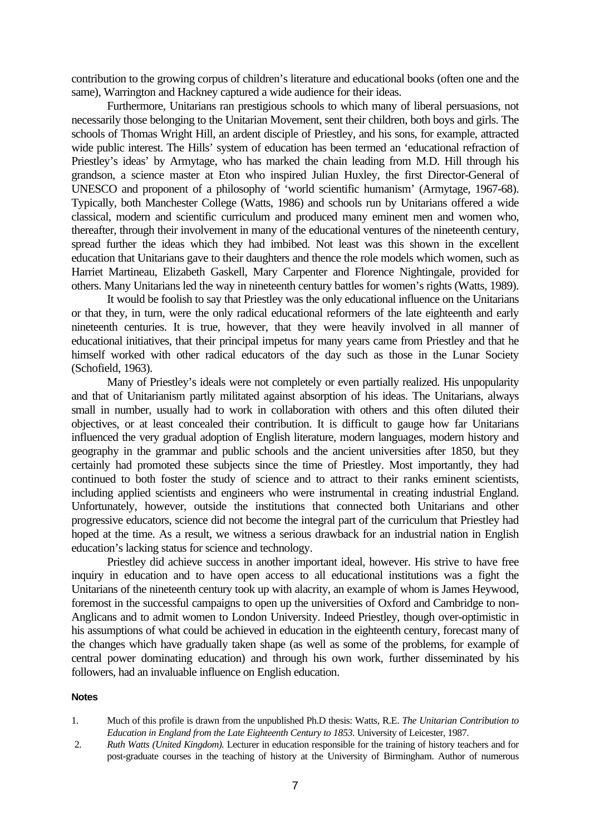contribution to the growing corpus of children's literature and educational books (often one and the same), Warrington and Hackney captured a wide audience for their ideas.

Furthermore, Unitarians ran prestigious schools to which many of liberal persuasions, not necessarily those belonging to the Unitarian Movement, sent their children, both boys and girls. The schools of Thomas Wright Hill, an ardent disciple of Priestley, and his sons, for example, attracted wide public interest. The Hills' system of education has been termed an 'educational refraction of Priestley's ideas' by Armytage, who has marked the chain leading from M.D. Hill through his grandson, a science master at Eton who inspired Julian Huxley, the first Director-General of UNESCO and proponent of a philosophy of 'world scientific humanism' (Armytage, 1967-68). Typically, both Manchester College (Watts, 1986) and schools run by Unitarians offered a wide classical, modern and scientific curriculum and produced many eminent men and women who, thereafter, through their involvement in many of the educational ventures of the nineteenth century, spread further the ideas which they had imbibed. Not least was this shown in the excellent education that Unitarians gave to their daughters and thence the role models which women, such as Harriet Martineau, Elizabeth Gaskell, Mary Carpenter and Florence Nightingale, provided for others. Many Unitarians led the way in nineteenth century battles for women's rights (Watts, 1989).

It would be foolish to say that Priestley was the only educational influence on the Unitarians or that they, in turn, were the only radical educational reformers of the late eighteenth and early nineteenth centuries. It is true, however, that they were heavily involved in all manner of educational initiatives, that their principal impetus for many years came from Priestley and that he himself worked with other radical educators of the day such as those in the Lunar Society (Schofield, 1963).

Many of Priestley's ideals were not completely or even partially realized. His unpopularity and that of Unitarianism partly militated against absorption of his ideas. The Unitarians, always small in number, usually had to work in collaboration with others and this often diluted their objectives, or at least concealed their contribution. It is difficult to gauge how far Unitarians influenced the very gradual adoption of English literature, modern languages, modern history and geography in the grammar and public schools and the ancient universities after 1850, but they certainly had promoted these subjects since the time of Priestley. Most importantly, they had continued to both foster the study of science and to attract to their ranks eminent scientists, including applied scientists and engineers who were instrumental in creating industrial England. Unfortunately, however, outside the institutions that connected both Unitarians and other progressive educators, science did not become the integral part of the curriculum that Priestley had hoped at the time. As a result, we witness a serious drawback for an industrial nation in English education's lacking status for science and technology.

Priestley did achieve success in another important ideal, however. His strive to have free inquiry in education and to have open access to all educational institutions was a fight the Unitarians of the nineteenth century took up with alacrity, an example of whom is James Heywood, foremost in the successful campaigns to open up the universities of Oxford and Cambridge to non-Anglicans and to admit women to London University. Indeed Priestley, though over-optimistic in his assumptions of what could be achieved in education in the eighteenth century, forecast many of the changes which have gradually taken shape (as well as some of the problems, for example of central power dominating education) and through his own work, further disseminated by his followers, had an invaluable influence on English education.

#### **Notes**

- 1. Much of this profile is drawn from the unpublished Ph.D thesis: Watts, R.E. *The Unitarian Contribution to Education in England from the Late Eighteenth Century to 1853*. University of Leicester, 1987.
- 2. *Ruth Watts (United Kingdom).* Lecturer in education responsible for the training of history teachers and for post-graduate courses in the teaching of history at the University of Birmingham. Author of numerous